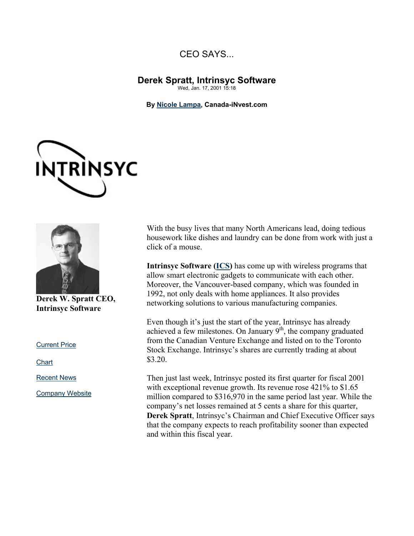## CEO SAYS...

## **Derek Spratt, Intrinsyc Software** Wed, Jan. 17, 2001 15:18

**By Nicole Lampa, Canada-iNvest.com**





**Derek W. Spratt CEO, Intrinsyc Software** 

Current Price

**Chart** 

Recent News

Company Website

With the busy lives that many North Americans lead, doing tedious housework like dishes and laundry can be done from work with just a click of a mouse.

**Intrinsyc Software (ICS)** has come up with wireless programs that allow smart electronic gadgets to communicate with each other. Moreover, the Vancouver-based company, which was founded in 1992, not only deals with home appliances. It also provides networking solutions to various manufacturing companies.

Even though it's just the start of the year, Intrinsyc has already achieved a few milestones. On January  $9<sup>th</sup>$ , the company graduated from the Canadian Venture Exchange and listed on to the Toronto Stock Exchange. Intrinsyc's shares are currently trading at about \$3.20.

Then just last week, Intrinsyc posted its first quarter for fiscal 2001 with exceptional revenue growth. Its revenue rose 421% to \$1.65 million compared to \$316,970 in the same period last year. While the company's net losses remained at 5 cents a share for this quarter, **Derek Spratt**, Intrinsyc's Chairman and Chief Executive Officer says that the company expects to reach profitability sooner than expected and within this fiscal year.